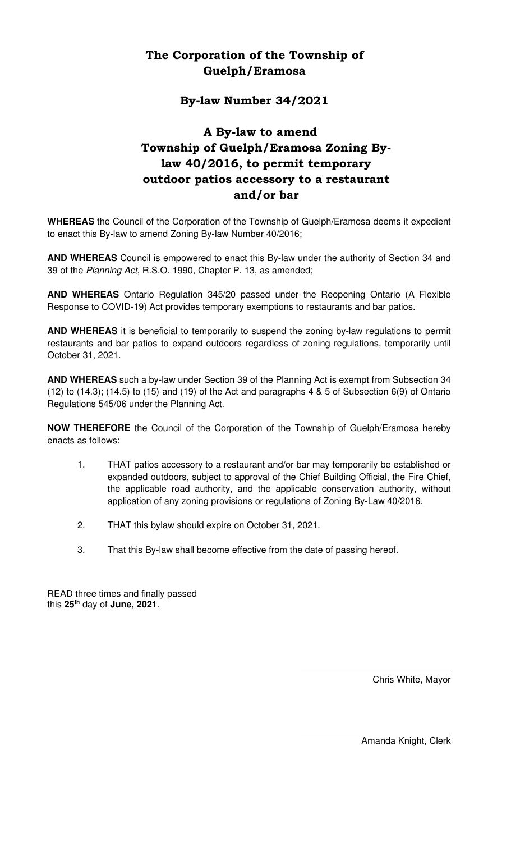# The Corporation of the Township of Guelph/Eramosa

### By-law Number 34/2021

# A By-law to amend Township of Guelph/Eramosa Zoning Bylaw 40/2016, to permit temporary outdoor patios accessory to a restaurant and/or bar

**WHEREAS** the Council of the Corporation of the Township of Guelph/Eramosa deems it expedient to enact this By-law to amend Zoning By-law Number 40/2016;

**AND WHEREAS** Council is empowered to enact this By-law under the authority of Section 34 and 39 of the Planning Act, R.S.O. 1990, Chapter P. 13, as amended;

**AND WHEREAS** Ontario Regulation 345/20 passed under the Reopening Ontario (A Flexible Response to COVID-19) Act provides temporary exemptions to restaurants and bar patios.

**AND WHEREAS** it is beneficial to temporarily to suspend the zoning by-law regulations to permit restaurants and bar patios to expand outdoors regardless of zoning regulations, temporarily until October 31, 2021.

**AND WHEREAS** such a by-law under Section 39 of the Planning Act is exempt from Subsection 34 (12) to (14.3); (14.5) to (15) and (19) of the Act and paragraphs 4 & 5 of Subsection 6(9) of Ontario Regulations 545/06 under the Planning Act.

**NOW THEREFORE** the Council of the Corporation of the Township of Guelph/Eramosa hereby enacts as follows:

- 1. THAT patios accessory to a restaurant and/or bar may temporarily be established or expanded outdoors, subject to approval of the Chief Building Official, the Fire Chief, the applicable road authority, and the applicable conservation authority, without application of any zoning provisions or regulations of Zoning By-Law 40/2016.
- 2. THAT this bylaw should expire on October 31, 2021.
- 3. That this By-law shall become effective from the date of passing hereof.

READ three times and finally passed this **25th** day of **June, 2021**.

Chris White, Mayor

Amanda Knight, Clerk